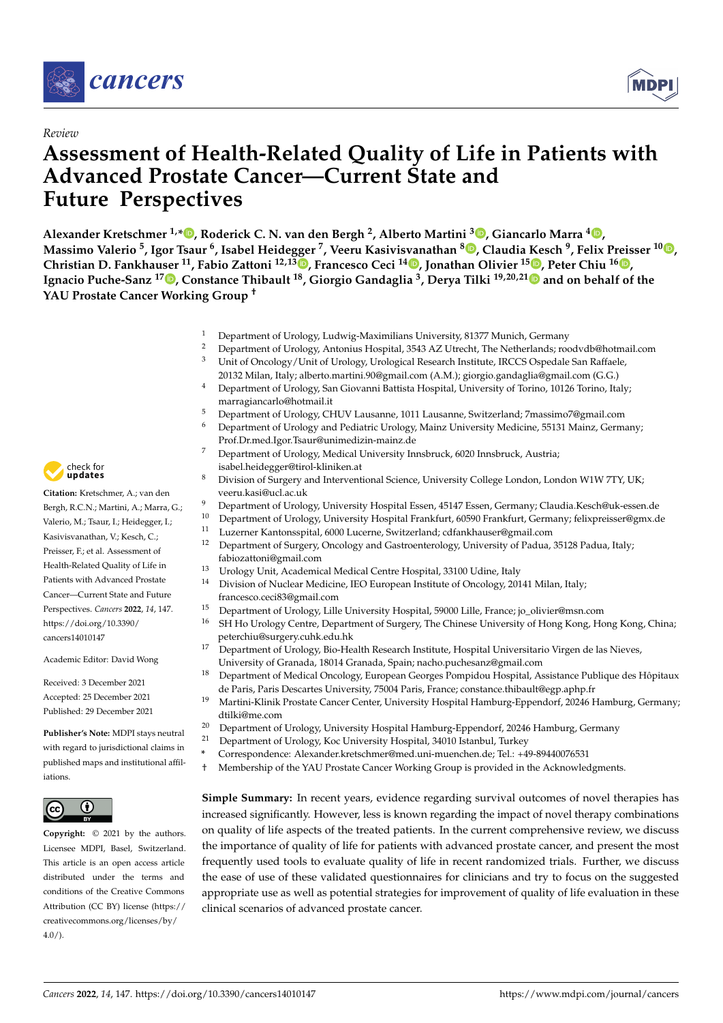

# *Review*

# **Assessment of Health-Related Quality of Life in Patients with Advanced Prostate Cancer—Current State and Future Perspectives**

**Alexander Kretschmer 1,[\\*](https://orcid.org/0000-0002-6511-4354) , Roderick C. N. van den Bergh <sup>2</sup> , Alberto Martini <sup>3</sup> [,](https://orcid.org/0000-0003-1272-7154) Giancarlo Marra <sup>4</sup> [,](https://orcid.org/0000-0003-2363-026X)** Massimo Valerio <sup>5</sup>, Igor Tsaur <sup>6</sup>, Isabel Heidegger <sup>7</sup>, Veeru Kasivis[van](https://orcid.org/0000-0001-9785-5248)athan <sup>8</sup>D[,](https://orcid.org/0000-0002-0832-382X) Claudia Kesch <sup>9</sup>, Felix Preisser <sup>1[0](https://orcid.org/0000-0002-7382-9632)</sup>D, **Christian D. Fankhauser <sup>11</sup>, Fabio Zattoni 12,13 [,](https://orcid.org/0000-0002-4178-373X) Francesco Ceci <sup>14</sup> , Jonathan Olivier <sup>15</sup> [,](https://orcid.org/0000-0002-5409-2911) Peter Chiu <sup>16</sup> [,](https://orcid.org/0000-0002-1499-8372) Ignacio Puche-Sanz <sup>17</sup> [,](https://orcid.org/0000-0003-4121-0162) Constance Thibault <sup>18</sup>, Giorgio Gandaglia <sup>3</sup> , Derya Tilki 19,20,2[1](https://orcid.org/0000-0001-7033-1380) and on behalf of the YAU Prostate Cancer Working Group †**

- <sup>1</sup> Department of Urology, Ludwig-Maximilians University, 81377 Munich, Germany<br><sup>2</sup> Department of Ural sex Antarius Usanital, 2542, AZ Utusht, The Mathematic mas
- <sup>2</sup> Department of Urology, Antonius Hospital, 3543 AZ Utrecht, The Netherlands; roodvdb@hotmail.com<br><sup>3</sup> Unit of Organization (Unit of Ural age Ural agents) Because Institute IBCCC Organization Beffects Unit of Oncology/Unit of Urology, Urological Research Institute, IRCCS Ospedale San Raffaele,
- 20132 Milan, Italy; alberto.martini.90@gmail.com (A.M.); giorgio.gandaglia@gmail.com (G.G.) <sup>4</sup> Department of Urology, San Giovanni Battista Hospital, University of Torino, 10126 Torino, Italy;
- marragiancarlo@hotmail.it
- <sup>5</sup> Department of Urology, CHUV Lausanne, 1011 Lausanne, Switzerland; 7massimo7@gmail.com
- <sup>6</sup> Department of Urology and Pediatric Urology, Mainz University Medicine, 55131 Mainz, Germany; Prof.Dr.med.Igor.Tsaur@unimedizin-mainz.de
- <sup>7</sup> Department of Urology, Medical University Innsbruck, 6020 Innsbruck, Austria; isabel.heidegger@tirol-kliniken.at
- 8 Division of Surgery and Interventional Science, University College London, London W1W 7TY, UK; veeru.kasi@ucl.ac.uk
- <sup>9</sup> Department of Urology, University Hospital Essen, 45147 Essen, Germany; Claudia.Kesch@uk-essen.de
- <sup>10</sup> Department of Urology, University Hospital Frankfurt, 60590 Frankfurt, Germany; felixpreisser@gmx.de
- <sup>11</sup> Luzerner Kantonsspital, 6000 Lucerne, Switzerland; cdfankhauser@gmail.com
- <sup>12</sup> Department of Surgery, Oncology and Gastroenterology, University of Padua, 35128 Padua, Italy; fabiozattoni@gmail.com
- <sup>13</sup> Urology Unit, Academical Medical Centre Hospital, 33100 Udine, Italy
- <sup>14</sup> Division of Nuclear Medicine, IEO European Institute of Oncology, 20141 Milan, Italy; francesco.ceci83@gmail.com
- <sup>15</sup> Department of Urology, Lille University Hospital, 59000 Lille, France; jo\_olivier@msn.com<br><sup>16</sup> EH Ho Urology Contro Department of Surgery, The Chinese University of Hong Kong, Ho
- <sup>16</sup> SH Ho Urology Centre, Department of Surgery, The Chinese University of Hong Kong, Hong Kong, China; peterchiu@surgery.cuhk.edu.hk
- <sup>17</sup> Department of Urology, Bio-Health Research Institute, Hospital Universitario Virgen de las Nieves, University of Granada, 18014 Granada, Spain; nacho.puchesanz@gmail.com
- <sup>18</sup> Department of Medical Oncology, European Georges Pompidou Hospital, Assistance Publique des Hôpitaux de Paris, Paris Descartes University, 75004 Paris, France; constance.thibault@egp.aphp.fr
- <sup>19</sup> Martini-Klinik Prostate Cancer Center, University Hospital Hamburg-Eppendorf, 20246 Hamburg, Germany; dtilki@me.com
- <sup>20</sup> Department of Urology, University Hospital Hamburg-Eppendorf, 20246 Hamburg, Germany<br><sup>21</sup> Department of Urology Kos University Hospital 34010 Jetaphyl Turkey
- <sup>21</sup> Department of Urology, Koc University Hospital, 34010 Istanbul, Turkey
- **\*** Correspondence: Alexander.kretschmer@med.uni-muenchen.de; Tel.: +49-89440076531
- † Membership of the YAU Prostate Cancer Working Group is provided in the Acknowledgments.

**Simple Summary:** In recent years, evidence regarding survival outcomes of novel therapies has increased significantly. However, less is known regarding the impact of novel therapy combinations on quality of life aspects of the treated patients. In the current comprehensive review, we discuss the importance of quality of life for patients with advanced prostate cancer, and present the most frequently used tools to evaluate quality of life in recent randomized trials. Further, we discuss the ease of use of these validated questionnaires for clinicians and try to focus on the suggested appropriate use as well as potential strategies for improvement of quality of life evaluation in these clinical scenarios of advanced prostate cancer.



**Citation:** Kretschmer, A.; van den Bergh, R.C.N.; Martini, A.; Marra, G.; Valerio, M.; Tsaur, I.; Heidegger, I.; Kasivisvanathan, V.; Kesch, C.; Preisser, F.; et al. Assessment of Health-Related Quality of Life in Patients with Advanced Prostate Cancer—Current State and Future Perspectives. *Cancers* **2022**, *14*, 147. [https://doi.org/10.3390/](https://doi.org/10.3390/cancers14010147) [cancers14010147](https://doi.org/10.3390/cancers14010147)

Academic Editor: David Wong

Received: 3 December 2021 Accepted: 25 December 2021 Published: 29 December 2021

**Publisher's Note:** MDPI stays neutral with regard to jurisdictional claims in published maps and institutional affiliations.



**Copyright:** © 2021 by the authors. Licensee MDPI, Basel, Switzerland. This article is an open access article distributed under the terms and conditions of the Creative Commons Attribution (CC BY) license [\(https://](https://creativecommons.org/licenses/by/4.0/) [creativecommons.org/licenses/by/](https://creativecommons.org/licenses/by/4.0/)  $4.0/$ ).

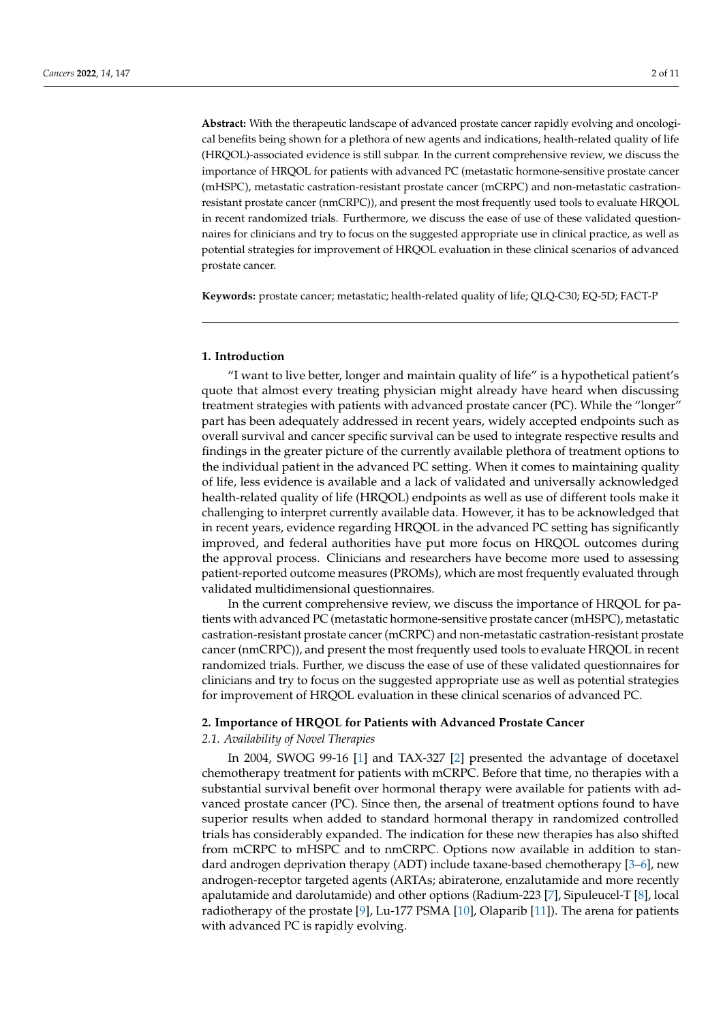**Abstract:** With the therapeutic landscape of advanced prostate cancer rapidly evolving and oncological benefits being shown for a plethora of new agents and indications, health-related quality of life (HRQOL)-associated evidence is still subpar. In the current comprehensive review, we discuss the importance of HRQOL for patients with advanced PC (metastatic hormone-sensitive prostate cancer (mHSPC), metastatic castration-resistant prostate cancer (mCRPC) and non-metastatic castrationresistant prostate cancer (nmCRPC)), and present the most frequently used tools to evaluate HRQOL in recent randomized trials. Furthermore, we discuss the ease of use of these validated questionnaires for clinicians and try to focus on the suggested appropriate use in clinical practice, as well as potential strategies for improvement of HRQOL evaluation in these clinical scenarios of advanced prostate cancer.

**Keywords:** prostate cancer; metastatic; health-related quality of life; QLQ-C30; EQ-5D; FACT-P

#### **1. Introduction**

"I want to live better, longer and maintain quality of life" is a hypothetical patient's quote that almost every treating physician might already have heard when discussing treatment strategies with patients with advanced prostate cancer (PC). While the "longer" part has been adequately addressed in recent years, widely accepted endpoints such as overall survival and cancer specific survival can be used to integrate respective results and findings in the greater picture of the currently available plethora of treatment options to the individual patient in the advanced PC setting. When it comes to maintaining quality of life, less evidence is available and a lack of validated and universally acknowledged health-related quality of life (HRQOL) endpoints as well as use of different tools make it challenging to interpret currently available data. However, it has to be acknowledged that in recent years, evidence regarding HRQOL in the advanced PC setting has significantly improved, and federal authorities have put more focus on HRQOL outcomes during the approval process. Clinicians and researchers have become more used to assessing patient-reported outcome measures (PROMs), which are most frequently evaluated through validated multidimensional questionnaires.

In the current comprehensive review, we discuss the importance of HRQOL for patients with advanced PC (metastatic hormone-sensitive prostate cancer (mHSPC), metastatic castration-resistant prostate cancer (mCRPC) and non-metastatic castration-resistant prostate cancer (nmCRPC)), and present the most frequently used tools to evaluate HRQOL in recent randomized trials. Further, we discuss the ease of use of these validated questionnaires for clinicians and try to focus on the suggested appropriate use as well as potential strategies for improvement of HRQOL evaluation in these clinical scenarios of advanced PC.

## **2. Importance of HRQOL for Patients with Advanced Prostate Cancer**

### *2.1. Availability of Novel Therapies*

In 2004, SWOG 99-16 [\[1\]](#page-8-0) and TAX-327 [\[2\]](#page-8-1) presented the advantage of docetaxel chemotherapy treatment for patients with mCRPC. Before that time, no therapies with a substantial survival benefit over hormonal therapy were available for patients with advanced prostate cancer (PC). Since then, the arsenal of treatment options found to have superior results when added to standard hormonal therapy in randomized controlled trials has considerably expanded. The indication for these new therapies has also shifted from mCRPC to mHSPC and to nmCRPC. Options now available in addition to standard androgen deprivation therapy (ADT) include taxane-based chemotherapy [\[3–](#page-8-2)[6\]](#page-8-3), new androgen-receptor targeted agents (ARTAs; abiraterone, enzalutamide and more recently apalutamide and darolutamide) and other options (Radium-223 [\[7\]](#page-8-4), Sipuleucel-T [\[8\]](#page-8-5), local radiotherapy of the prostate [\[9\]](#page-8-6), Lu-177 PSMA [\[10\]](#page-8-7), Olaparib [\[11\]](#page-8-8)). The arena for patients with advanced PC is rapidly evolving.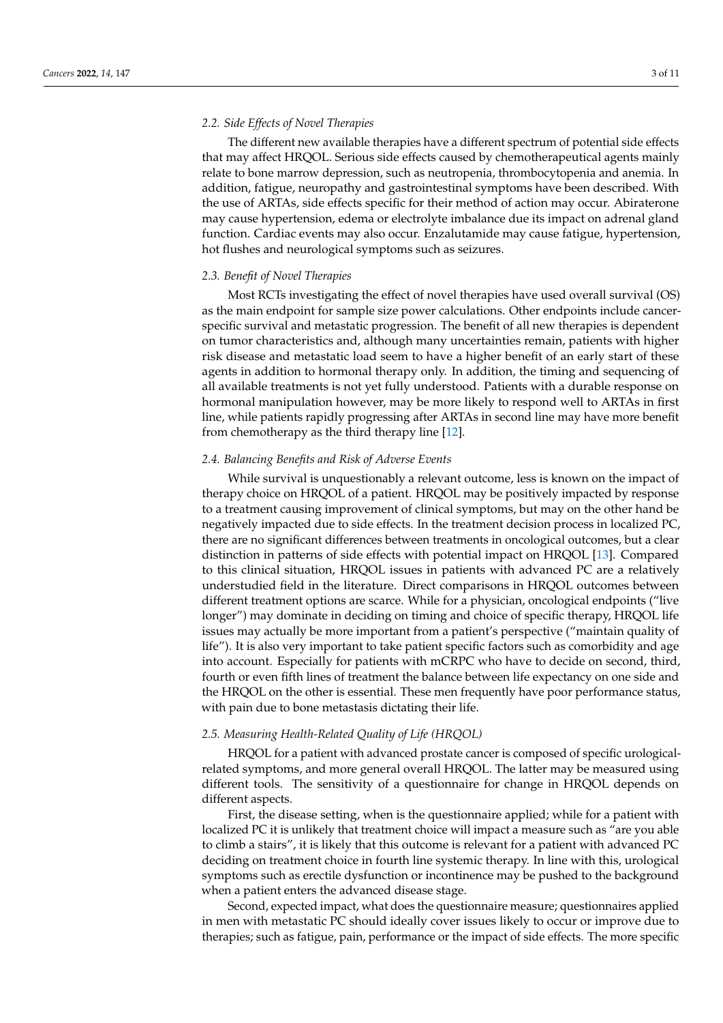#### *2.2. Side Effects of Novel Therapies*

The different new available therapies have a different spectrum of potential side effects that may affect HRQOL. Serious side effects caused by chemotherapeutical agents mainly relate to bone marrow depression, such as neutropenia, thrombocytopenia and anemia. In addition, fatigue, neuropathy and gastrointestinal symptoms have been described. With the use of ARTAs, side effects specific for their method of action may occur. Abiraterone may cause hypertension, edema or electrolyte imbalance due its impact on adrenal gland function. Cardiac events may also occur. Enzalutamide may cause fatigue, hypertension, hot flushes and neurological symptoms such as seizures.

#### *2.3. Benefit of Novel Therapies*

Most RCTs investigating the effect of novel therapies have used overall survival (OS) as the main endpoint for sample size power calculations. Other endpoints include cancerspecific survival and metastatic progression. The benefit of all new therapies is dependent on tumor characteristics and, although many uncertainties remain, patients with higher risk disease and metastatic load seem to have a higher benefit of an early start of these agents in addition to hormonal therapy only. In addition, the timing and sequencing of all available treatments is not yet fully understood. Patients with a durable response on hormonal manipulation however, may be more likely to respond well to ARTAs in first line, while patients rapidly progressing after ARTAs in second line may have more benefit from chemotherapy as the third therapy line [\[12\]](#page-8-9).

## *2.4. Balancing Benefits and Risk of Adverse Events*

While survival is unquestionably a relevant outcome, less is known on the impact of therapy choice on HRQOL of a patient. HRQOL may be positively impacted by response to a treatment causing improvement of clinical symptoms, but may on the other hand be negatively impacted due to side effects. In the treatment decision process in localized PC, there are no significant differences between treatments in oncological outcomes, but a clear distinction in patterns of side effects with potential impact on HRQOL [\[13\]](#page-8-10). Compared to this clinical situation, HRQOL issues in patients with advanced PC are a relatively understudied field in the literature. Direct comparisons in HRQOL outcomes between different treatment options are scarce. While for a physician, oncological endpoints ("live longer") may dominate in deciding on timing and choice of specific therapy, HRQOL life issues may actually be more important from a patient's perspective ("maintain quality of life"). It is also very important to take patient specific factors such as comorbidity and age into account. Especially for patients with mCRPC who have to decide on second, third, fourth or even fifth lines of treatment the balance between life expectancy on one side and the HRQOL on the other is essential. These men frequently have poor performance status, with pain due to bone metastasis dictating their life.

#### *2.5. Measuring Health-Related Quality of Life (HRQOL)*

HRQOL for a patient with advanced prostate cancer is composed of specific urologicalrelated symptoms, and more general overall HRQOL. The latter may be measured using different tools. The sensitivity of a questionnaire for change in HRQOL depends on different aspects.

First, the disease setting, when is the questionnaire applied; while for a patient with localized PC it is unlikely that treatment choice will impact a measure such as "are you able to climb a stairs", it is likely that this outcome is relevant for a patient with advanced PC deciding on treatment choice in fourth line systemic therapy. In line with this, urological symptoms such as erectile dysfunction or incontinence may be pushed to the background when a patient enters the advanced disease stage.

Second, expected impact, what does the questionnaire measure; questionnaires applied in men with metastatic PC should ideally cover issues likely to occur or improve due to therapies; such as fatigue, pain, performance or the impact of side effects. The more specific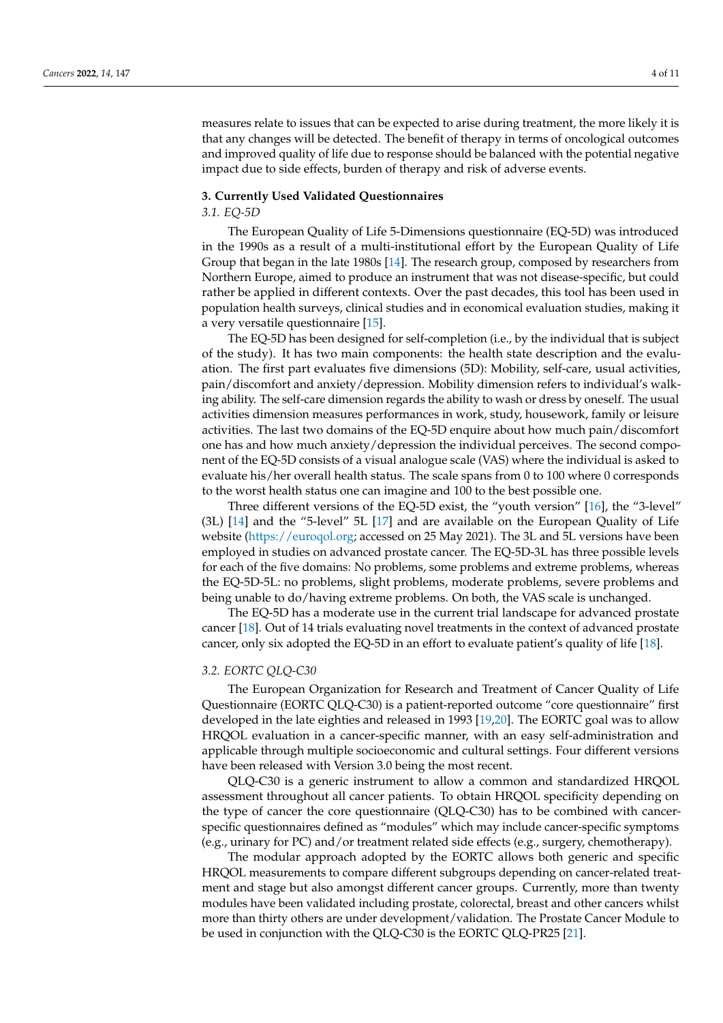measures relate to issues that can be expected to arise during treatment, the more likely it is that any changes will be detected. The benefit of therapy in terms of oncological outcomes and improved quality of life due to response should be balanced with the potential negative impact due to side effects, burden of therapy and risk of adverse events.

#### **3. Currently Used Validated Questionnaires**

# *3.1. EQ-5D*

The European Quality of Life 5-Dimensions questionnaire (EQ-5D) was introduced in the 1990s as a result of a multi-institutional effort by the European Quality of Life Group that began in the late 1980s [\[14\]](#page-8-11). The research group, composed by researchers from Northern Europe, aimed to produce an instrument that was not disease-specific, but could rather be applied in different contexts. Over the past decades, this tool has been used in population health surveys, clinical studies and in economical evaluation studies, making it a very versatile questionnaire [\[15\]](#page-8-12).

The EQ-5D has been designed for self-completion (i.e., by the individual that is subject of the study). It has two main components: the health state description and the evaluation. The first part evaluates five dimensions (5D): Mobility, self-care, usual activities, pain/discomfort and anxiety/depression. Mobility dimension refers to individual's walking ability. The self-care dimension regards the ability to wash or dress by oneself. The usual activities dimension measures performances in work, study, housework, family or leisure activities. The last two domains of the EQ-5D enquire about how much pain/discomfort one has and how much anxiety/depression the individual perceives. The second component of the EQ-5D consists of a visual analogue scale (VAS) where the individual is asked to evaluate his/her overall health status. The scale spans from 0 to 100 where 0 corresponds to the worst health status one can imagine and 100 to the best possible one.

Three different versions of the EQ-5D exist, the "youth version" [\[16\]](#page-8-13), the "3-level" (3L) [\[14\]](#page-8-11) and the "5-level" 5L [\[17\]](#page-8-14) and are available on the European Quality of Life website [\(https://euroqol.org;](https://euroqol.org) accessed on 25 May 2021). The 3L and 5L versions have been employed in studies on advanced prostate cancer. The EQ-5D-3L has three possible levels for each of the five domains: No problems, some problems and extreme problems, whereas the EQ-5D-5L: no problems, slight problems, moderate problems, severe problems and being unable to do/having extreme problems. On both, the VAS scale is unchanged.

The EQ-5D has a moderate use in the current trial landscape for advanced prostate cancer [\[18\]](#page-9-0). Out of 14 trials evaluating novel treatments in the context of advanced prostate cancer, only six adopted the EQ-5D in an effort to evaluate patient's quality of life [\[18\]](#page-9-0).

## *3.2. EORTC QLQ-C30*

The European Organization for Research and Treatment of Cancer Quality of Life Questionnaire (EORTC QLQ-C30) is a patient-reported outcome "core questionnaire" first developed in the late eighties and released in 1993 [\[19](#page-9-1)[,20\]](#page-9-2). The EORTC goal was to allow HRQOL evaluation in a cancer-specific manner, with an easy self-administration and applicable through multiple socioeconomic and cultural settings. Four different versions have been released with Version 3.0 being the most recent.

QLQ-C30 is a generic instrument to allow a common and standardized HRQOL assessment throughout all cancer patients. To obtain HRQOL specificity depending on the type of cancer the core questionnaire (QLQ-C30) has to be combined with cancerspecific questionnaires defined as "modules" which may include cancer-specific symptoms (e.g., urinary for PC) and/or treatment related side effects (e.g., surgery, chemotherapy).

The modular approach adopted by the EORTC allows both generic and specific HRQOL measurements to compare different subgroups depending on cancer-related treatment and stage but also amongst different cancer groups. Currently, more than twenty modules have been validated including prostate, colorectal, breast and other cancers whilst more than thirty others are under development/validation. The Prostate Cancer Module to be used in conjunction with the QLQ-C30 is the EORTC QLQ-PR25 [\[21\]](#page-9-3).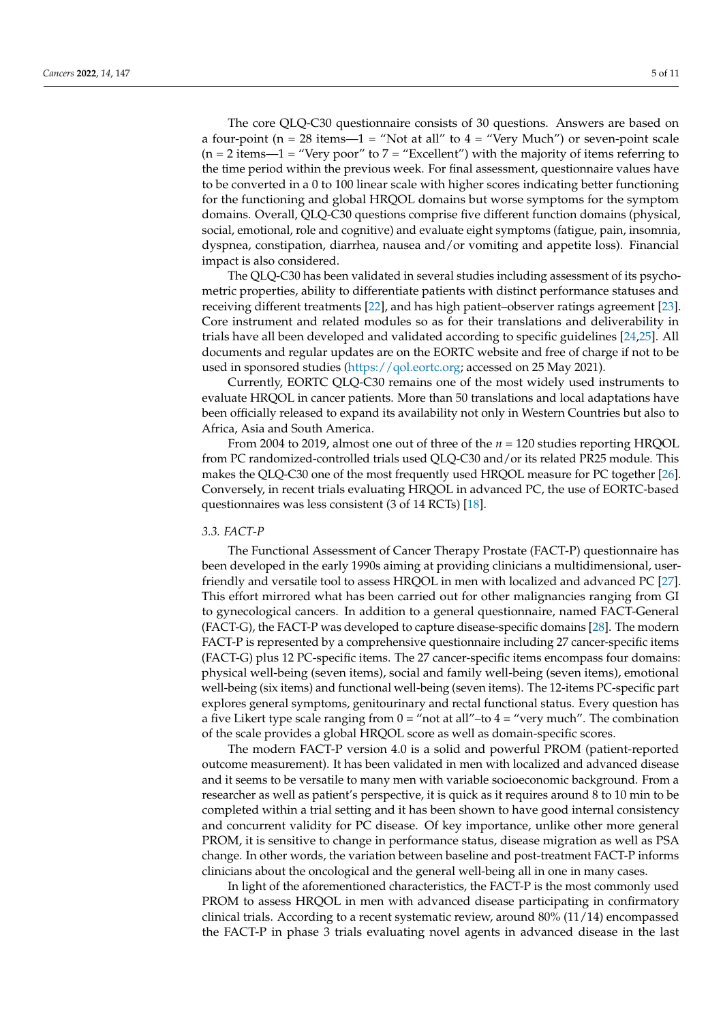The core QLQ-C30 questionnaire consists of 30 questions. Answers are based on a four-point ( $n = 28$  items—1 = "Not at all" to  $4 =$  "Very Much") or seven-point scale  $(n = 2$  items—1 = "Very poor" to  $7 =$  "Excellent") with the majority of items referring to the time period within the previous week. For final assessment, questionnaire values have to be converted in a 0 to 100 linear scale with higher scores indicating better functioning for the functioning and global HRQOL domains but worse symptoms for the symptom domains. Overall, QLQ-C30 questions comprise five different function domains (physical, social, emotional, role and cognitive) and evaluate eight symptoms (fatigue, pain, insomnia, dyspnea, constipation, diarrhea, nausea and/or vomiting and appetite loss). Financial impact is also considered.

The QLQ-C30 has been validated in several studies including assessment of its psychometric properties, ability to differentiate patients with distinct performance statuses and receiving different treatments [\[22\]](#page-9-4), and has high patient–observer ratings agreement [\[23\]](#page-9-5). Core instrument and related modules so as for their translations and deliverability in trials have all been developed and validated according to specific guidelines [\[24](#page-9-6)[,25\]](#page-9-7). All documents and regular updates are on the EORTC website and free of charge if not to be used in sponsored studies [\(https://qol.eortc.org;](https://qol.eortc.org) accessed on 25 May 2021).

Currently, EORTC QLQ-C30 remains one of the most widely used instruments to evaluate HRQOL in cancer patients. More than 50 translations and local adaptations have been officially released to expand its availability not only in Western Countries but also to Africa, Asia and South America.

From 2004 to 2019, almost one out of three of the *n* = 120 studies reporting HRQOL from PC randomized-controlled trials used QLQ-C30 and/or its related PR25 module. This makes the QLQ-C30 one of the most frequently used HRQOL measure for PC together [\[26\]](#page-9-8). Conversely, in recent trials evaluating HRQOL in advanced PC, the use of EORTC-based questionnaires was less consistent (3 of 14 RCTs) [\[18\]](#page-9-0).

### *3.3. FACT-P*

The Functional Assessment of Cancer Therapy Prostate (FACT-P) questionnaire has been developed in the early 1990s aiming at providing clinicians a multidimensional, userfriendly and versatile tool to assess HRQOL in men with localized and advanced PC [\[27\]](#page-9-9). This effort mirrored what has been carried out for other malignancies ranging from GI to gynecological cancers. In addition to a general questionnaire, named FACT-General (FACT-G), the FACT-P was developed to capture disease-specific domains [\[28\]](#page-9-10). The modern FACT-P is represented by a comprehensive questionnaire including 27 cancer-specific items (FACT-G) plus 12 PC-specific items. The 27 cancer-specific items encompass four domains: physical well-being (seven items), social and family well-being (seven items), emotional well-being (six items) and functional well-being (seven items). The 12-items PC-specific part explores general symptoms, genitourinary and rectal functional status. Every question has a five Likert type scale ranging from  $0 = \text{``not at all''–to 4} = \text{``very much''}.$  The combination of the scale provides a global HRQOL score as well as domain-specific scores.

The modern FACT-P version 4.0 is a solid and powerful PROM (patient-reported outcome measurement). It has been validated in men with localized and advanced disease and it seems to be versatile to many men with variable socioeconomic background. From a researcher as well as patient's perspective, it is quick as it requires around 8 to 10 min to be completed within a trial setting and it has been shown to have good internal consistency and concurrent validity for PC disease. Of key importance, unlike other more general PROM, it is sensitive to change in performance status, disease migration as well as PSA change. In other words, the variation between baseline and post-treatment FACT-P informs clinicians about the oncological and the general well-being all in one in many cases.

In light of the aforementioned characteristics, the FACT-P is the most commonly used PROM to assess HRQOL in men with advanced disease participating in confirmatory clinical trials. According to a recent systematic review, around 80% (11/14) encompassed the FACT-P in phase 3 trials evaluating novel agents in advanced disease in the last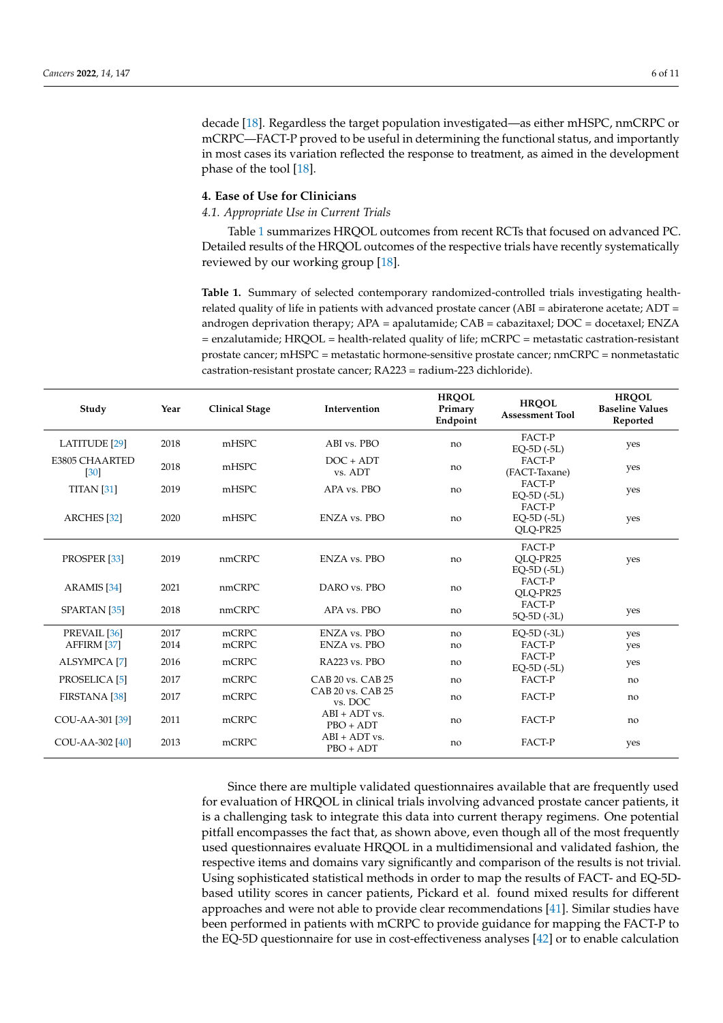decade [\[18\]](#page-9-0). Regardless the target population investigated—as either mHSPC, nmCRPC or mCRPC—FACT-P proved to be useful in determining the functional status, and importantly in most cases its variation reflected the response to treatment, as aimed in the development phase of the tool [\[18\]](#page-9-0).

#### **4. Ease of Use for Clinicians**

*4.1. Appropriate Use in Current Trials*

Table [1](#page-5-0) summarizes HRQOL outcomes from recent RCTs that focused on advanced PC. Detailed results of the HRQOL outcomes of the respective trials have recently systematically reviewed by our working group [\[18\]](#page-9-0).

<span id="page-5-0"></span>**Table 1.** Summary of selected contemporary randomized-controlled trials investigating healthrelated quality of life in patients with advanced prostate cancer (ABI = abiraterone acetate; ADT = androgen deprivation therapy; APA = apalutamide; CAB = cabazitaxel; DOC = docetaxel; ENZA = enzalutamide; HRQOL = health-related quality of life; mCRPC = metastatic castration-resistant prostate cancer; mHSPC = metastatic hormone-sensitive prostate cancer; nmCRPC = nonmetastatic castration-resistant prostate cancer; RA223 = radium-223 dichloride).

| Study                          | Year | <b>Clinical Stage</b> | Intervention                   | <b>HROOL</b><br>Primary<br>Endpoint | <b>HROOL</b><br><b>Assessment Tool</b> | <b>HROOL</b><br><b>Baseline Values</b><br>Reported |
|--------------------------------|------|-----------------------|--------------------------------|-------------------------------------|----------------------------------------|----------------------------------------------------|
| <b>LATITUDE</b> [29]           | 2018 | mHSPC                 | ABI vs. PBO                    | no                                  | FACT-P<br>$EQ-5D(-5L)$                 | yes                                                |
| <b>E3805 CHAARTED</b><br>[30]  | 2018 | mHSPC                 | $DOC + ADT$<br>vs. ADT         | no                                  | FACT-P<br>(FACT-Taxane)                | yes                                                |
| TITAN $[31]$                   | 2019 | mHSPC                 | APA vs. PBO                    | no                                  | FACT-P<br>$EO-5D(-5L)$                 | yes                                                |
| <b>ARCHES</b> [32]             | 2020 | mHSPC                 | ENZA vs. PBO                   | no                                  | FACT-P<br>$EO-5D(-5L)$<br>QLQ-PR25     | yes                                                |
| PROSPER <sub>[33]</sub>        | 2019 | nmCRPC                | <b>ENZA vs. PBO</b>            | no                                  | FACT-P<br>OLO-PR25<br>$EO-5D(-5L)$     | yes                                                |
| ARAMIS <sup>[34]</sup>         | 2021 | nmCRPC                | DARO vs. PBO                   | no                                  | FACT-P<br>OLO-PR25                     |                                                    |
| SPARTAN <sub>[35]</sub>        | 2018 | nmCRPC                | APA vs. PBO                    | no                                  | FACT-P<br>$5O-5D(-3L)$                 | yes                                                |
| PREVAIL [36]                   | 2017 | mCRPC                 | ENZA vs. PBO                   | no                                  | $EQ-5D(-3L)$                           | yes                                                |
| AFFIRM [37]                    | 2014 | mCRPC                 | ENZA vs. PBO                   | no                                  | FACT-P                                 | yes                                                |
| <b>ALSYMPCA</b> <sup>[7]</sup> | 2016 | mCRPC                 | RA223 vs. PBO                  | no                                  | FACT-P<br>$EQ-5D(-5L)$                 | yes                                                |
| PROSELICA [5]                  | 2017 | mCRPC                 | CAB 20 vs. CAB 25              | no                                  | FACT-P                                 | no                                                 |
| <b>FIRSTANA</b> [38]           | 2017 | mCRPC                 | CAB 20 vs. CAB 25<br>vs. DOC   | no                                  | FACT-P                                 | no                                                 |
| COU-AA-301 [39]                | 2011 | mCRPC                 | $ABI + ADT$ vs.<br>$PBO + ADT$ | no                                  | FACT-P                                 | no                                                 |
| COU-AA-302 [40]                | 2013 | mCRPC                 | $ABI + ADT$ vs.<br>$PBO + ADT$ | no                                  | FACT-P                                 | yes                                                |

Since there are multiple validated questionnaires available that are frequently used for evaluation of HRQOL in clinical trials involving advanced prostate cancer patients, it is a challenging task to integrate this data into current therapy regimens. One potential pitfall encompasses the fact that, as shown above, even though all of the most frequently used questionnaires evaluate HRQOL in a multidimensional and validated fashion, the respective items and domains vary significantly and comparison of the results is not trivial. Using sophisticated statistical methods in order to map the results of FACT- and EQ-5Dbased utility scores in cancer patients, Pickard et al. found mixed results for different approaches and were not able to provide clear recommendations [\[41\]](#page-10-3). Similar studies have been performed in patients with mCRPC to provide guidance for mapping the FACT-P to the EQ-5D questionnaire for use in cost-effectiveness analyses [\[42\]](#page-10-4) or to enable calculation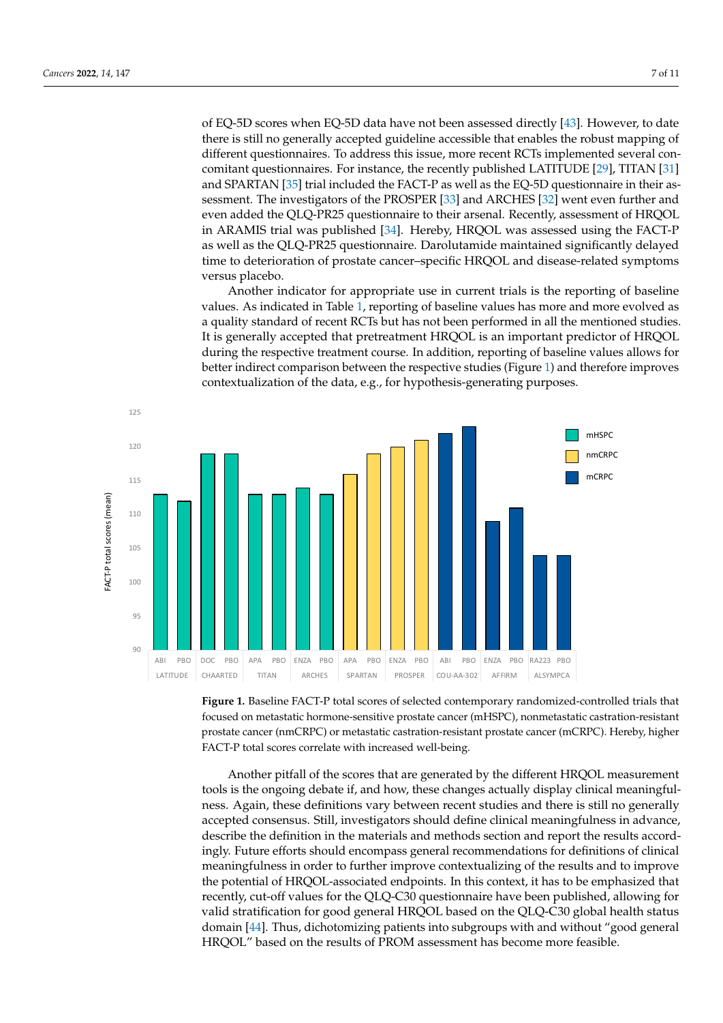of EQ-5D scores when EQ-5D data have not been assessed directly [\[43\]](#page-10-5). However, to date there is still no generally accepted guideline accessible that enables the robust mapping of different questionnaires. To address this issue, more recent RCTs implemented several con-comitant questionnaires. For instance, the recently published LATITUDE [\[29\]](#page-9-11), TITAN [\[31\]](#page-9-13) and SPARTAN [\[35\]](#page-9-17) trial included the FACT-P as well as the EQ-5D questionnaire in their as-sessment. The investigators of the PROSPER [\[33\]](#page-9-15) and ARCHES [\[32\]](#page-9-14) went even further and even added the QLQ-PR25 questionnaire to their arsenal. Recently, assessment of HRQOL in ARAMIS trial was published [\[34\]](#page-9-16). Hereby, HRQOL was assessed using the FACT-P as well as the QLQ-PR25 questionnaire. Darolutamide maintained significantly delayed time to deterioration of prostate cancer–specific HRQOL and disease-related symptoms versus placebo.

versus placebo.<br>Another indicator for appropriate use in current trials is the reporting of baseline values. As indicated in Table [1,](#page-5-0) reporting of baseline values has more and more evolved as a quality standard of recent RCTs but has not been performed in all the mentioned studies. It is generally accepted that pretreatment HRQOL is an important predictor of HRQOL during the respective treatment course. In addition, reporting of baseline values allows for during the respective treatment course. In addition, reporting of baseline values allows for the respective treatment comparison in addition, reperting or baseline variety and the respective studies (Figure [1\)](#page-6-0) and therefore improves. contextualization of the data, e.g., for hypothesis-generating purposes. studies. It is much accepted that  $\mathcal{L}(\mathcal{T}_R)$  and  $\mathcal{L}(\mathcal{T}_R)$  is an important predictor of  $\mathcal{T}_R$  is an important predictor of  $\mathcal{T}_R$  is an important predictor of  $\mathcal{T}_R$  is an important predictor of  $\mathcal{T}_R$ 

<span id="page-6-0"></span>

**Figure 1.** Baseline FACT-P total scores of selected contemporary randomized-controlled trials that **Figure 1.** Baseline FACT-P total scores of selected contemporary randomized-controlled trials that focused on metastatic hormone-sensitive prostate cancer (mHSPC), nonmetastatic castration-focused on metastatic hormone-sensitive prostate cancer (mHSPC), nonmetastatic castration-resistant prostate cancer (nmCRPC) or metastatic castration-resistant prostate cancer (mCRPC). Hereby, higher FACT-P total scores correlate with increased well-being.

Another pitfall of the scores that are generated by the different HRQOL measurement tools is the ongoing debate if, and how, these changes actually display clinical meaningfulness. Again, these definitions vary between recent studies and there is still no generally accepted consensus. Still, investigators should define clinical meaningfulness in advance, describe the definition in the materials and methods section and report the results accordingly. Future efforts should encompass general recommendations for definitions of clinical meaningfulness in order to further improve contextualizing of the results and to improve the potential of HRQOL-associated endpoints. In this context, it has to be emphasized that recently, cut-off values for the QLQ-C30 questionnaire have been published, allowing for valid stratification for good general HRQOL based on the QLQ-C30 global health status domain [\[44\]](#page-10-6). Thus, dichotomizing patients into subgroups with and without "good general HRQOL" based on the results of PROM assessment has become more feasible.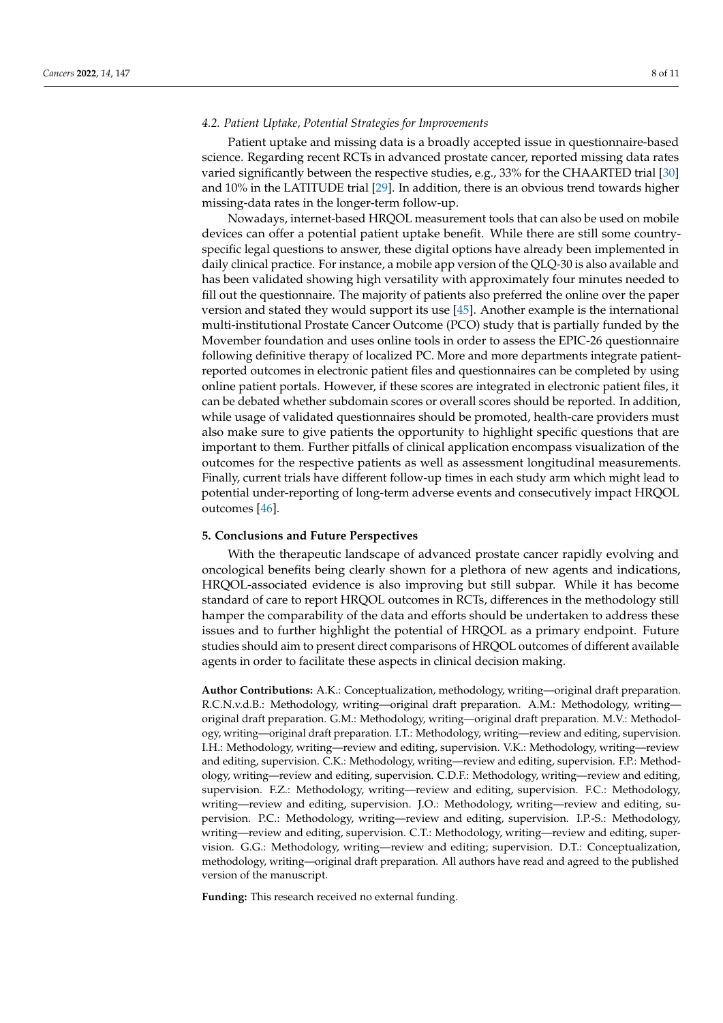#### *4.2. Patient Uptake, Potential Strategies for Improvements*

Patient uptake and missing data is a broadly accepted issue in questionnaire-based science. Regarding recent RCTs in advanced prostate cancer, reported missing data rates varied significantly between the respective studies, e.g., 33% for the CHAARTED trial [\[30\]](#page-9-12) and 10% in the LATITUDE trial [\[29\]](#page-9-11). In addition, there is an obvious trend towards higher missing-data rates in the longer-term follow-up.

Nowadays, internet-based HRQOL measurement tools that can also be used on mobile devices can offer a potential patient uptake benefit. While there are still some countryspecific legal questions to answer, these digital options have already been implemented in daily clinical practice. For instance, a mobile app version of the QLQ-30 is also available and has been validated showing high versatility with approximately four minutes needed to fill out the questionnaire. The majority of patients also preferred the online over the paper version and stated they would support its use [\[45\]](#page-10-7). Another example is the international multi-institutional Prostate Cancer Outcome (PCO) study that is partially funded by the Movember foundation and uses online tools in order to assess the EPIC-26 questionnaire following definitive therapy of localized PC. More and more departments integrate patientreported outcomes in electronic patient files and questionnaires can be completed by using online patient portals. However, if these scores are integrated in electronic patient files, it can be debated whether subdomain scores or overall scores should be reported. In addition, while usage of validated questionnaires should be promoted, health-care providers must also make sure to give patients the opportunity to highlight specific questions that are important to them. Further pitfalls of clinical application encompass visualization of the outcomes for the respective patients as well as assessment longitudinal measurements. Finally, current trials have different follow-up times in each study arm which might lead to potential under-reporting of long-term adverse events and consecutively impact HRQOL outcomes [\[46\]](#page-10-8).

#### **5. Conclusions and Future Perspectives**

With the therapeutic landscape of advanced prostate cancer rapidly evolving and oncological benefits being clearly shown for a plethora of new agents and indications, HRQOL-associated evidence is also improving but still subpar. While it has become standard of care to report HRQOL outcomes in RCTs, differences in the methodology still hamper the comparability of the data and efforts should be undertaken to address these issues and to further highlight the potential of HRQOL as a primary endpoint. Future studies should aim to present direct comparisons of HRQOL outcomes of different available agents in order to facilitate these aspects in clinical decision making.

**Author Contributions:** A.K.: Conceptualization, methodology, writing—original draft preparation. R.C.N.v.d.B.: Methodology, writing—original draft preparation. A.M.: Methodology, writing original draft preparation. G.M.: Methodology, writing—original draft preparation. M.V.: Methodology, writing—original draft preparation. I.T.: Methodology, writing—review and editing, supervision. I.H.: Methodology, writing—review and editing, supervision. V.K.: Methodology, writing—review and editing, supervision. C.K.: Methodology, writing—review and editing, supervision. F.P.: Methodology, writing—review and editing, supervision. C.D.F.: Methodology, writing—review and editing, supervision. F.Z.: Methodology, writing—review and editing, supervision. F.C.: Methodology, writing—review and editing, supervision. J.O.: Methodology, writing—review and editing, supervision. P.C.: Methodology, writing—review and editing, supervision. I.P.-S.: Methodology, writing—review and editing, supervision. C.T.: Methodology, writing—review and editing, supervision. G.G.: Methodology, writing—review and editing; supervision. D.T.: Conceptualization, methodology, writing—original draft preparation. All authors have read and agreed to the published version of the manuscript.

**Funding:** This research received no external funding.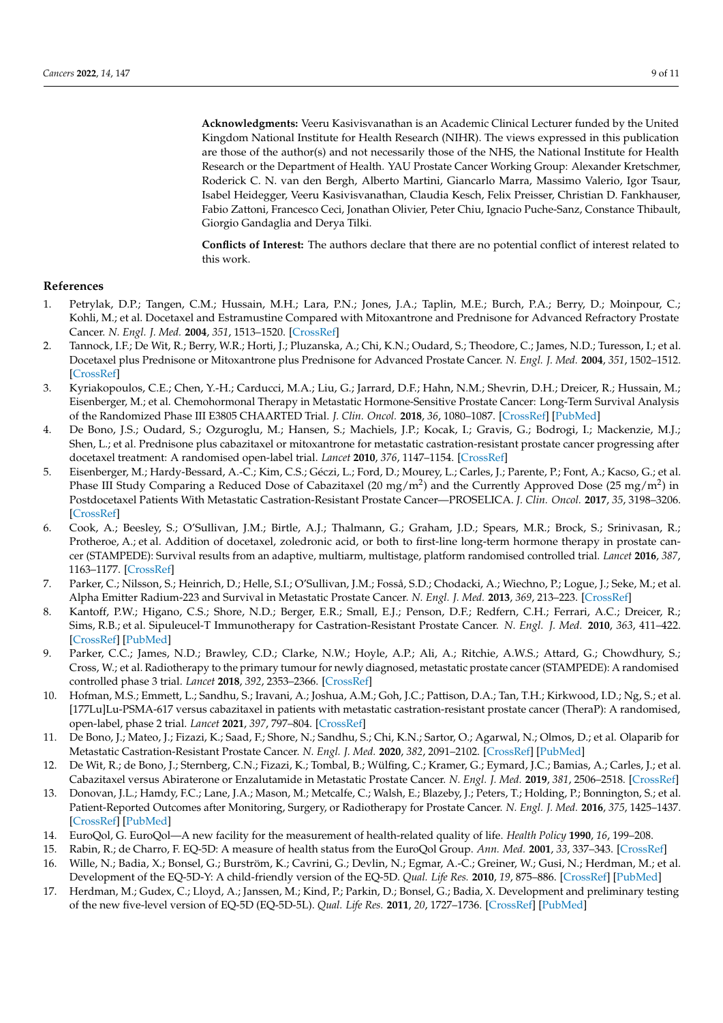**Acknowledgments:** Veeru Kasivisvanathan is an Academic Clinical Lecturer funded by the United Kingdom National Institute for Health Research (NIHR). The views expressed in this publication are those of the author(s) and not necessarily those of the NHS, the National Institute for Health Research or the Department of Health. YAU Prostate Cancer Working Group: Alexander Kretschmer, Roderick C. N. van den Bergh, Alberto Martini, Giancarlo Marra, Massimo Valerio, Igor Tsaur, Isabel Heidegger, Veeru Kasivisvanathan, Claudia Kesch, Felix Preisser, Christian D. Fankhauser, Fabio Zattoni, Francesco Ceci, Jonathan Olivier, Peter Chiu, Ignacio Puche-Sanz, Constance Thibault, Giorgio Gandaglia and Derya Tilki.

**Conflicts of Interest:** The authors declare that there are no potential conflict of interest related to this work.

# **References**

- <span id="page-8-0"></span>1. Petrylak, D.P.; Tangen, C.M.; Hussain, M.H.; Lara, P.N.; Jones, J.A.; Taplin, M.E.; Burch, P.A.; Berry, D.; Moinpour, C.; Kohli, M.; et al. Docetaxel and Estramustine Compared with Mitoxantrone and Prednisone for Advanced Refractory Prostate Cancer. *N. Engl. J. Med.* **2004**, *351*, 1513–1520. [\[CrossRef\]](http://doi.org/10.1056/NEJMoa041318)
- <span id="page-8-1"></span>2. Tannock, I.F.; De Wit, R.; Berry, W.R.; Horti, J.; Pluzanska, A.; Chi, K.N.; Oudard, S.; Theodore, C.; James, N.D.; Turesson, I.; et al. Docetaxel plus Prednisone or Mitoxantrone plus Prednisone for Advanced Prostate Cancer. *N. Engl. J. Med.* **2004**, *351*, 1502–1512. [\[CrossRef\]](http://doi.org/10.1056/NEJMoa040720)
- <span id="page-8-2"></span>3. Kyriakopoulos, C.E.; Chen, Y.-H.; Carducci, M.A.; Liu, G.; Jarrard, D.F.; Hahn, N.M.; Shevrin, D.H.; Dreicer, R.; Hussain, M.; Eisenberger, M.; et al. Chemohormonal Therapy in Metastatic Hormone-Sensitive Prostate Cancer: Long-Term Survival Analysis of the Randomized Phase III E3805 CHAARTED Trial. *J. Clin. Oncol.* **2018**, *36*, 1080–1087. [\[CrossRef\]](http://doi.org/10.1200/JCO.2017.75.3657) [\[PubMed\]](http://www.ncbi.nlm.nih.gov/pubmed/29384722)
- 4. De Bono, J.S.; Oudard, S.; Ozguroglu, M.; Hansen, S.; Machiels, J.P.; Kocak, I.; Gravis, G.; Bodrogi, I.; Mackenzie, M.J.; Shen, L.; et al. Prednisone plus cabazitaxel or mitoxantrone for metastatic castration-resistant prostate cancer progressing after docetaxel treatment: A randomised open-label trial. *Lancet* **2010**, *376*, 1147–1154. [\[CrossRef\]](http://doi.org/10.1016/S0140-6736(10)61389-X)
- <span id="page-8-15"></span>5. Eisenberger, M.; Hardy-Bessard, A.-C.; Kim, C.S.; Géczi, L.; Ford, D.; Mourey, L.; Carles, J.; Parente, P.; Font, A.; Kacso, G.; et al. Phase III Study Comparing a Reduced Dose of Cabazitaxel (20 mg/m<sup>2</sup>) and the Currently Approved Dose (25 mg/m<sup>2</sup>) in Postdocetaxel Patients With Metastatic Castration-Resistant Prostate Cancer—PROSELICA. *J. Clin. Oncol.* **2017**, *35*, 3198–3206. [\[CrossRef\]](http://doi.org/10.1200/JCO.2016.72.1076)
- <span id="page-8-3"></span>6. Cook, A.; Beesley, S.; O'Sullivan, J.M.; Birtle, A.J.; Thalmann, G.; Graham, J.D.; Spears, M.R.; Brock, S.; Srinivasan, R.; Protheroe, A.; et al. Addition of docetaxel, zoledronic acid, or both to first-line long-term hormone therapy in prostate cancer (STAMPEDE): Survival results from an adaptive, multiarm, multistage, platform randomised controlled trial. *Lancet* **2016**, *387*, 1163–1177. [\[CrossRef\]](http://doi.org/10.7892/boris.75185)
- <span id="page-8-4"></span>7. Parker, C.; Nilsson, S.; Heinrich, D.; Helle, S.I.; O'Sullivan, J.M.; Fosså, S.D.; Chodacki, A.; Wiechno, P.; Logue, J.; Seke, M.; et al. Alpha Emitter Radium-223 and Survival in Metastatic Prostate Cancer. *N. Engl. J. Med.* **2013**, *369*, 213–223. [\[CrossRef\]](http://doi.org/10.1056/NEJMoa1213755)
- <span id="page-8-5"></span>8. Kantoff, P.W.; Higano, C.S.; Shore, N.D.; Berger, E.R.; Small, E.J.; Penson, D.F.; Redfern, C.H.; Ferrari, A.C.; Dreicer, R.; Sims, R.B.; et al. Sipuleucel-T Immunotherapy for Castration-Resistant Prostate Cancer. *N. Engl. J. Med.* **2010**, *363*, 411–422. [\[CrossRef\]](http://doi.org/10.1056/NEJMoa1001294) [\[PubMed\]](http://www.ncbi.nlm.nih.gov/pubmed/20818862)
- <span id="page-8-6"></span>9. Parker, C.C.; James, N.D.; Brawley, C.D.; Clarke, N.W.; Hoyle, A.P.; Ali, A.; Ritchie, A.W.S.; Attard, G.; Chowdhury, S.; Cross, W.; et al. Radiotherapy to the primary tumour for newly diagnosed, metastatic prostate cancer (STAMPEDE): A randomised controlled phase 3 trial. *Lancet* **2018**, *392*, 2353–2366. [\[CrossRef\]](http://doi.org/10.1016/S0140-6736(18)32486-3)
- <span id="page-8-7"></span>10. Hofman, M.S.; Emmett, L.; Sandhu, S.; Iravani, A.; Joshua, A.M.; Goh, J.C.; Pattison, D.A.; Tan, T.H.; Kirkwood, I.D.; Ng, S.; et al. [177Lu]Lu-PSMA-617 versus cabazitaxel in patients with metastatic castration-resistant prostate cancer (TheraP): A randomised, open-label, phase 2 trial. *Lancet* **2021**, *397*, 797–804. [\[CrossRef\]](http://doi.org/10.1016/S0140-6736(21)00237-3)
- <span id="page-8-8"></span>11. De Bono, J.; Mateo, J.; Fizazi, K.; Saad, F.; Shore, N.; Sandhu, S.; Chi, K.N.; Sartor, O.; Agarwal, N.; Olmos, D.; et al. Olaparib for Metastatic Castration-Resistant Prostate Cancer. *N. Engl. J. Med.* **2020**, *382*, 2091–2102. [\[CrossRef\]](http://doi.org/10.1056/NEJMoa1911440) [\[PubMed\]](http://www.ncbi.nlm.nih.gov/pubmed/32343890)
- <span id="page-8-9"></span>12. De Wit, R.; de Bono, J.; Sternberg, C.N.; Fizazi, K.; Tombal, B.; Wülfing, C.; Kramer, G.; Eymard, J.C.; Bamias, A.; Carles, J.; et al. Cabazitaxel versus Abiraterone or Enzalutamide in Metastatic Prostate Cancer. *N. Engl. J. Med.* **2019**, *381*, 2506–2518. [\[CrossRef\]](http://doi.org/10.1056/NEJMoa1911206)
- <span id="page-8-10"></span>13. Donovan, J.L.; Hamdy, F.C.; Lane, J.A.; Mason, M.; Metcalfe, C.; Walsh, E.; Blazeby, J.; Peters, T.; Holding, P.; Bonnington, S.; et al. Patient-Reported Outcomes after Monitoring, Surgery, or Radiotherapy for Prostate Cancer. *N. Engl. J. Med.* **2016**, *375*, 1425–1437. [\[CrossRef\]](http://doi.org/10.1056/NEJMoa1606221) [\[PubMed\]](http://www.ncbi.nlm.nih.gov/pubmed/27626365)
- <span id="page-8-11"></span>14. EuroQol, G. EuroQol—A new facility for the measurement of health-related quality of life. *Health Policy* **1990**, *16*, 199–208.
- <span id="page-8-12"></span>15. Rabin, R.; de Charro, F. EQ-5D: A measure of health status from the EuroQol Group. *Ann. Med.* **2001**, *33*, 337–343. [\[CrossRef\]](http://doi.org/10.3109/07853890109002087)
- <span id="page-8-13"></span>16. Wille, N.; Badia, X.; Bonsel, G.; Burström, K.; Cavrini, G.; Devlin, N.; Egmar, A.-C.; Greiner, W.; Gusi, N.; Herdman, M.; et al. Development of the EQ-5D-Y: A child-friendly version of the EQ-5D. *Qual. Life Res.* **2010**, *19*, 875–886. [\[CrossRef\]](http://doi.org/10.1007/s11136-010-9648-y) [\[PubMed\]](http://www.ncbi.nlm.nih.gov/pubmed/20405245)
- <span id="page-8-14"></span>17. Herdman, M.; Gudex, C.; Lloyd, A.; Janssen, M.; Kind, P.; Parkin, D.; Bonsel, G.; Badia, X. Development and preliminary testing of the new five-level version of EQ-5D (EQ-5D-5L). *Qual. Life Res.* **2011**, *20*, 1727–1736. [\[CrossRef\]](http://doi.org/10.1007/s11136-011-9903-x) [\[PubMed\]](http://www.ncbi.nlm.nih.gov/pubmed/21479777)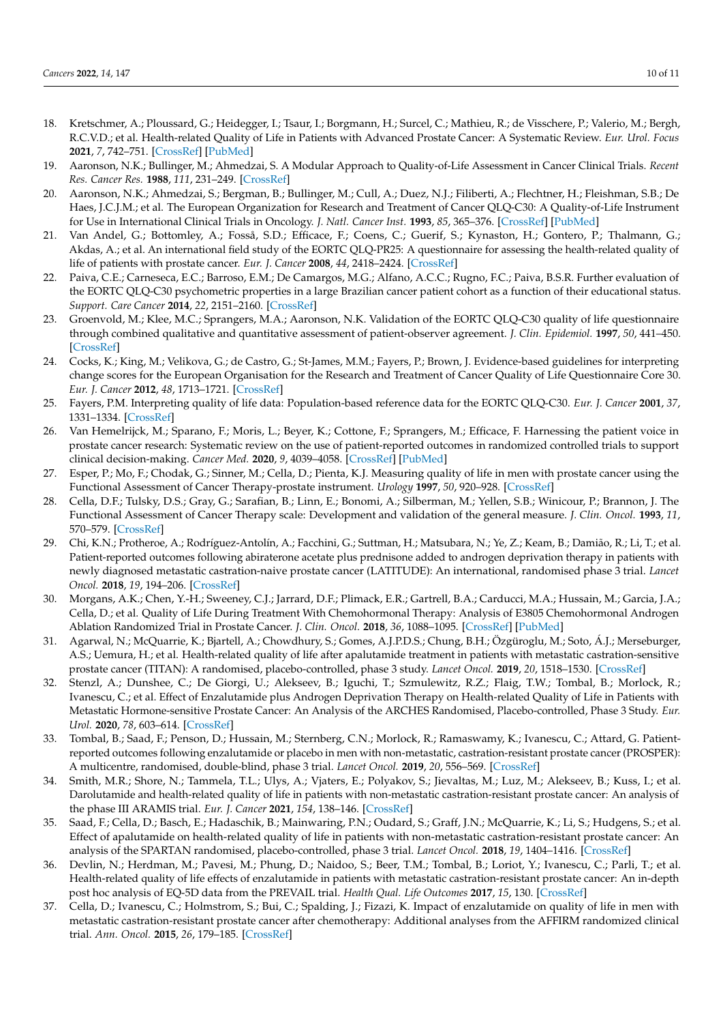- <span id="page-9-0"></span>18. Kretschmer, A.; Ploussard, G.; Heidegger, I.; Tsaur, I.; Borgmann, H.; Surcel, C.; Mathieu, R.; de Visschere, P.; Valerio, M.; Bergh, R.C.V.D.; et al. Health-related Quality of Life in Patients with Advanced Prostate Cancer: A Systematic Review. *Eur. Urol. Focus* **2021**, *7*, 742–751. [\[CrossRef\]](http://doi.org/10.1016/j.euf.2020.01.017) [\[PubMed\]](http://www.ncbi.nlm.nih.gov/pubmed/32089495)
- <span id="page-9-1"></span>19. Aaronson, N.K.; Bullinger, M.; Ahmedzai, S. A Modular Approach to Quality-of-Life Assessment in Cancer Clinical Trials. *Recent Res. Cancer Res.* **1988**, *111*, 231–249. [\[CrossRef\]](http://doi.org/10.1007/978-3-642-83419-6_27)
- <span id="page-9-2"></span>20. Aaronson, N.K.; Ahmedzai, S.; Bergman, B.; Bullinger, M.; Cull, A.; Duez, N.J.; Filiberti, A.; Flechtner, H.; Fleishman, S.B.; De Haes, J.C.J.M.; et al. The European Organization for Research and Treatment of Cancer QLQ-C30: A Quality-of-Life Instrument for Use in International Clinical Trials in Oncology. *J. Natl. Cancer Inst.* **1993**, *85*, 365–376. [\[CrossRef\]](http://doi.org/10.1093/jnci/85.5.365) [\[PubMed\]](http://www.ncbi.nlm.nih.gov/pubmed/8433390)
- <span id="page-9-3"></span>21. Van Andel, G.; Bottomley, A.; Fosså, S.D.; Efficace, F.; Coens, C.; Guerif, S.; Kynaston, H.; Gontero, P.; Thalmann, G.; Akdas, A.; et al. An international field study of the EORTC QLQ-PR25: A questionnaire for assessing the health-related quality of life of patients with prostate cancer. *Eur. J. Cancer* **2008**, *44*, 2418–2424. [\[CrossRef\]](http://doi.org/10.1016/j.ejca.2008.07.030)
- <span id="page-9-4"></span>22. Paiva, C.E.; Carneseca, E.C.; Barroso, E.M.; De Camargos, M.G.; Alfano, A.C.C.; Rugno, F.C.; Paiva, B.S.R. Further evaluation of the EORTC QLQ-C30 psychometric properties in a large Brazilian cancer patient cohort as a function of their educational status. *Support. Care Cancer* **2014**, *22*, 2151–2160. [\[CrossRef\]](http://doi.org/10.1007/s00520-014-2206-3)
- <span id="page-9-5"></span>23. Groenvold, M.; Klee, M.C.; Sprangers, M.A.; Aaronson, N.K. Validation of the EORTC QLQ-C30 quality of life questionnaire through combined qualitative and quantitative assessment of patient-observer agreement. *J. Clin. Epidemiol.* **1997**, *50*, 441–450. [\[CrossRef\]](http://doi.org/10.1016/S0895-4356(96)00428-3)
- <span id="page-9-6"></span>24. Cocks, K.; King, M.; Velikova, G.; de Castro, G.; St-James, M.M.; Fayers, P.; Brown, J. Evidence-based guidelines for interpreting change scores for the European Organisation for the Research and Treatment of Cancer Quality of Life Questionnaire Core 30. *Eur. J. Cancer* **2012**, *48*, 1713–1721. [\[CrossRef\]](http://doi.org/10.1016/j.ejca.2012.02.059)
- <span id="page-9-7"></span>25. Fayers, P.M. Interpreting quality of life data: Population-based reference data for the EORTC QLQ-C30. *Eur. J. Cancer* **2001**, *37*, 1331–1334. [\[CrossRef\]](http://doi.org/10.1016/S0959-8049(01)00127-7)
- <span id="page-9-8"></span>26. Van Hemelrijck, M.; Sparano, F.; Moris, L.; Beyer, K.; Cottone, F.; Sprangers, M.; Efficace, F. Harnessing the patient voice in prostate cancer research: Systematic review on the use of patient-reported outcomes in randomized controlled trials to support clinical decision-making. *Cancer Med.* **2020**, *9*, 4039–4058. [\[CrossRef\]](http://doi.org/10.1002/cam4.3018) [\[PubMed\]](http://www.ncbi.nlm.nih.gov/pubmed/32333639)
- <span id="page-9-9"></span>27. Esper, P.; Mo, F.; Chodak, G.; Sinner, M.; Cella, D.; Pienta, K.J. Measuring quality of life in men with prostate cancer using the Functional Assessment of Cancer Therapy-prostate instrument. *Urology* **1997**, *50*, 920–928. [\[CrossRef\]](http://doi.org/10.1016/S0090-4295(97)00459-7)
- <span id="page-9-10"></span>28. Cella, D.F.; Tulsky, D.S.; Gray, G.; Sarafian, B.; Linn, E.; Bonomi, A.; Silberman, M.; Yellen, S.B.; Winicour, P.; Brannon, J. The Functional Assessment of Cancer Therapy scale: Development and validation of the general measure. *J. Clin. Oncol.* **1993**, *11*, 570–579. [\[CrossRef\]](http://doi.org/10.1200/JCO.1993.11.3.570)
- <span id="page-9-11"></span>29. Chi, K.N.; Protheroe, A.; Rodríguez-Antolín, A.; Facchini, G.; Suttman, H.; Matsubara, N.; Ye, Z.; Keam, B.; Damião, R.; Li, T.; et al. Patient-reported outcomes following abiraterone acetate plus prednisone added to androgen deprivation therapy in patients with newly diagnosed metastatic castration-naive prostate cancer (LATITUDE): An international, randomised phase 3 trial. *Lancet Oncol.* **2018**, *19*, 194–206. [\[CrossRef\]](http://doi.org/10.1016/S1470-2045(17)30911-7)
- <span id="page-9-12"></span>30. Morgans, A.K.; Chen, Y.-H.; Sweeney, C.J.; Jarrard, D.F.; Plimack, E.R.; Gartrell, B.A.; Carducci, M.A.; Hussain, M.; Garcia, J.A.; Cella, D.; et al. Quality of Life During Treatment With Chemohormonal Therapy: Analysis of E3805 Chemohormonal Androgen Ablation Randomized Trial in Prostate Cancer. *J. Clin. Oncol.* **2018**, *36*, 1088–1095. [\[CrossRef\]](http://doi.org/10.1200/JCO.2017.75.3335) [\[PubMed\]](http://www.ncbi.nlm.nih.gov/pubmed/29522362)
- <span id="page-9-13"></span>31. Agarwal, N.; McQuarrie, K.; Bjartell, A.; Chowdhury, S.; Gomes, A.J.P.D.S.; Chung, B.H.; Özgüroglu, M.; Soto, Á.J.; Merseburger, A.S.; Uemura, H.; et al. Health-related quality of life after apalutamide treatment in patients with metastatic castration-sensitive prostate cancer (TITAN): A randomised, placebo-controlled, phase 3 study. *Lancet Oncol.* **2019**, *20*, 1518–1530. [\[CrossRef\]](http://doi.org/10.1016/S1470-2045(19)30620-5)
- <span id="page-9-14"></span>32. Stenzl, A.; Dunshee, C.; De Giorgi, U.; Alekseev, B.; Iguchi, T.; Szmulewitz, R.Z.; Flaig, T.W.; Tombal, B.; Morlock, R.; Ivanescu, C.; et al. Effect of Enzalutamide plus Androgen Deprivation Therapy on Health-related Quality of Life in Patients with Metastatic Hormone-sensitive Prostate Cancer: An Analysis of the ARCHES Randomised, Placebo-controlled, Phase 3 Study. *Eur. Urol.* **2020**, *78*, 603–614. [\[CrossRef\]](http://doi.org/10.1016/j.eururo.2020.03.019)
- <span id="page-9-15"></span>33. Tombal, B.; Saad, F.; Penson, D.; Hussain, M.; Sternberg, C.N.; Morlock, R.; Ramaswamy, K.; Ivanescu, C.; Attard, G. Patientreported outcomes following enzalutamide or placebo in men with non-metastatic, castration-resistant prostate cancer (PROSPER): A multicentre, randomised, double-blind, phase 3 trial. *Lancet Oncol.* **2019**, *20*, 556–569. [\[CrossRef\]](http://doi.org/10.1016/S1470-2045(18)30898-2)
- <span id="page-9-16"></span>34. Smith, M.R.; Shore, N.; Tammela, T.L.; Ulys, A.; Vjaters, E.; Polyakov, S.; Jievaltas, M.; Luz, M.; Alekseev, B.; Kuss, I.; et al. Darolutamide and health-related quality of life in patients with non-metastatic castration-resistant prostate cancer: An analysis of the phase III ARAMIS trial. *Eur. J. Cancer* **2021**, *154*, 138–146. [\[CrossRef\]](http://doi.org/10.1016/j.ejca.2021.06.010)
- <span id="page-9-17"></span>35. Saad, F.; Cella, D.; Basch, E.; Hadaschik, B.; Mainwaring, P.N.; Oudard, S.; Graff, J.N.; McQuarrie, K.; Li, S.; Hudgens, S.; et al. Effect of apalutamide on health-related quality of life in patients with non-metastatic castration-resistant prostate cancer: An analysis of the SPARTAN randomised, placebo-controlled, phase 3 trial. *Lancet Oncol.* **2018**, *19*, 1404–1416. [\[CrossRef\]](http://doi.org/10.1016/S1470-2045(18)30456-X)
- <span id="page-9-18"></span>36. Devlin, N.; Herdman, M.; Pavesi, M.; Phung, D.; Naidoo, S.; Beer, T.M.; Tombal, B.; Loriot, Y.; Ivanescu, C.; Parli, T.; et al. Health-related quality of life effects of enzalutamide in patients with metastatic castration-resistant prostate cancer: An in-depth post hoc analysis of EQ-5D data from the PREVAIL trial. *Health Qual. Life Outcomes* **2017**, *15*, 130. [\[CrossRef\]](http://doi.org/10.1186/s12955-017-0704-y)
- <span id="page-9-19"></span>37. Cella, D.; Ivanescu, C.; Holmstrom, S.; Bui, C.; Spalding, J.; Fizazi, K. Impact of enzalutamide on quality of life in men with metastatic castration-resistant prostate cancer after chemotherapy: Additional analyses from the AFFIRM randomized clinical trial. *Ann. Oncol.* **2015**, *26*, 179–185. [\[CrossRef\]](http://doi.org/10.1093/annonc/mdu510)